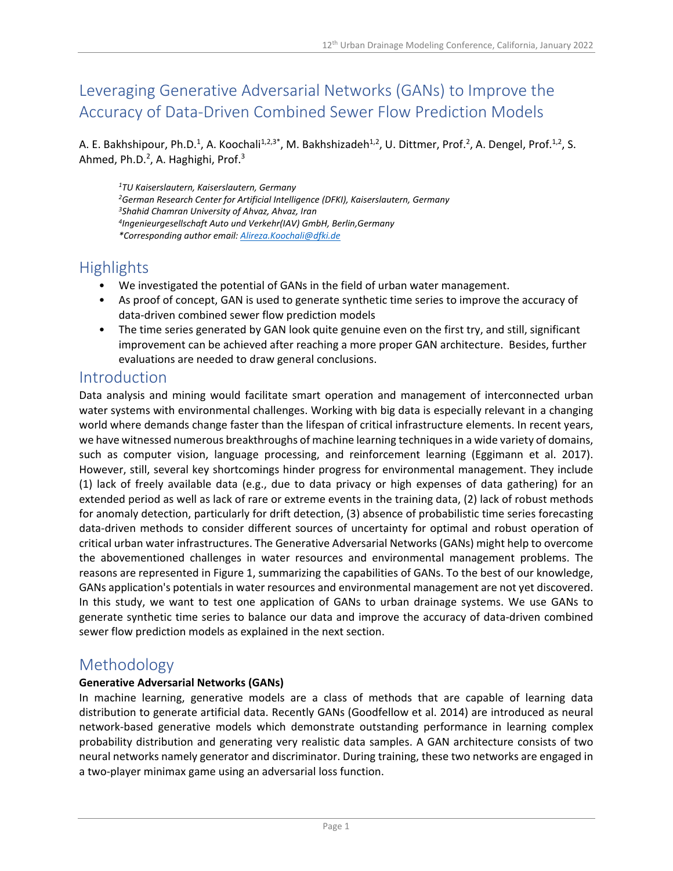# Leveraging Generative Adversarial Networks (GANs) to Improve the Accuracy of Data-Driven Combined Sewer Flow Prediction Models

A. E. Bakhshipour, Ph.D.<sup>1</sup>, A. Koochali<sup>1,2,3\*</sup>, M. Bakhshizadeh<sup>1,2</sup>, U. Dittmer, Prof.<sup>2</sup>, A. Dengel, Prof.<sup>1,2</sup>, S. Ahmed, Ph.D.<sup>2</sup>, A. Haghighi, Prof.<sup>3</sup>

*1TU Kaiserslautern, Kaiserslautern, Germany 2German Research Center for Artificial Intelligence (DFKI), Kaiserslautern, Germany 3Shahid Chamran University of Ahvaz, Ahvaz, Iran 4Ingenieurgesellschaft Auto und Verkehr(IAV) GmbH, Berlin,Germany \*Corresponding author email: Alireza.Koochali@dfki.de*

# **Highlights**

- We investigated the potential of GANs in the field of urban water management.
- As proof of concept, GAN is used to generate synthetic time series to improve the accuracy of data-driven combined sewer flow prediction models
- The time series generated by GAN look quite genuine even on the first try, and still, significant improvement can be achieved after reaching a more proper GAN architecture. Besides, further evaluations are needed to draw general conclusions.

# Introduction

Data analysis and mining would facilitate smart operation and management of interconnected urban water systems with environmental challenges. Working with big data is especially relevant in a changing world where demands change faster than the lifespan of critical infrastructure elements. In recent years, we have witnessed numerous breakthroughs of machine learning techniques in a wide variety of domains, such as computer vision, language processing, and reinforcement learning (Eggimann et al. 2017). However, still, several key shortcomings hinder progress for environmental management. They include (1) lack of freely available data (e.g., due to data privacy or high expenses of data gathering) for an extended period as well as lack of rare or extreme events in the training data, (2) lack of robust methods for anomaly detection, particularly for drift detection, (3) absence of probabilistic time series forecasting data-driven methods to consider different sources of uncertainty for optimal and robust operation of critical urban water infrastructures. The Generative Adversarial Networks (GANs) might help to overcome the abovementioned challenges in water resources and environmental management problems. The reasons are represented in Figure 1, summarizing the capabilities of GANs. To the best of our knowledge, GANs application's potentials in water resources and environmental management are not yet discovered. In this study, we want to test one application of GANs to urban drainage systems. We use GANs to generate synthetic time series to balance our data and improve the accuracy of data-driven combined sewer flow prediction models as explained in the next section.

# Methodology

### **Generative Adversarial Networks (GANs)**

In machine learning, generative models are a class of methods that are capable of learning data distribution to generate artificial data. Recently GANs (Goodfellow et al. 2014) are introduced as neural network-based generative models which demonstrate outstanding performance in learning complex probability distribution and generating very realistic data samples. A GAN architecture consists of two neural networks namely generator and discriminator. During training, these two networks are engaged in a two-player minimax game using an adversarial loss function.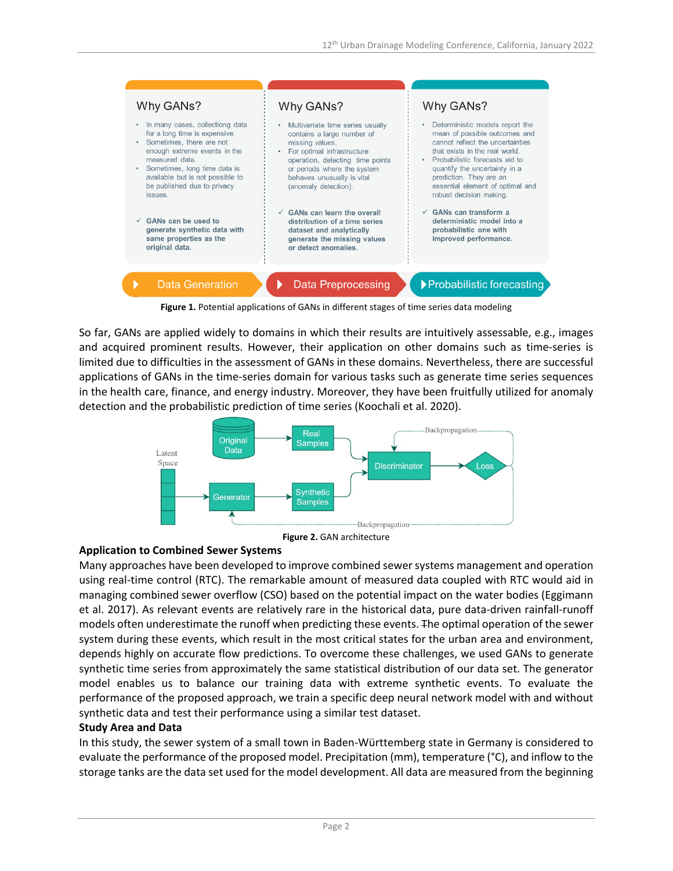

Figure 1. Potential applications of GANs in different stages of time series data modeling

So far, GANs are applied widely to domains in which their results are intuitively assessable, e.g., images and acquired prominent results. However, their application on other domains such as time-series is limited due to difficulties in the assessment of GANs in these domains. Nevertheless, there are successful applications of GANs in the time-series domain for various tasks such as generate time series sequences in the health care, finance, and energy industry. Moreover, they have been fruitfully utilized for anomaly detection and the probabilistic prediction of time series (Koochali et al. 2020).



**Figure 2.** GAN architecture

### **Application to Combined Sewer Systems**

Many approaches have been developed to improve combined sewer systems management and operation using real-time control (RTC). The remarkable amount of measured data coupled with RTC would aid in managing combined sewer overflow (CSO) based on the potential impact on the water bodies (Eggimann et al. 2017). As relevant events are relatively rare in the historical data, pure data-driven rainfall-runoff models often underestimate the runoff when predicting these events. The optimal operation of the sewer system during these events, which result in the most critical states for the urban area and environment, depends highly on accurate flow predictions. To overcome these challenges, we used GANs to generate synthetic time series from approximately the same statistical distribution of our data set. The generator model enables us to balance our training data with extreme synthetic events. To evaluate the performance of the proposed approach, we train a specific deep neural network model with and without synthetic data and test their performance using a similar test dataset.

### **Study Area and Data**

In this study, the sewer system of a small town in Baden-Württemberg state in Germany is considered to evaluate the performance of the proposed model. Precipitation (mm), temperature (°C), and inflow to the storage tanks are the data set used for the model development. All data are measured from the beginning